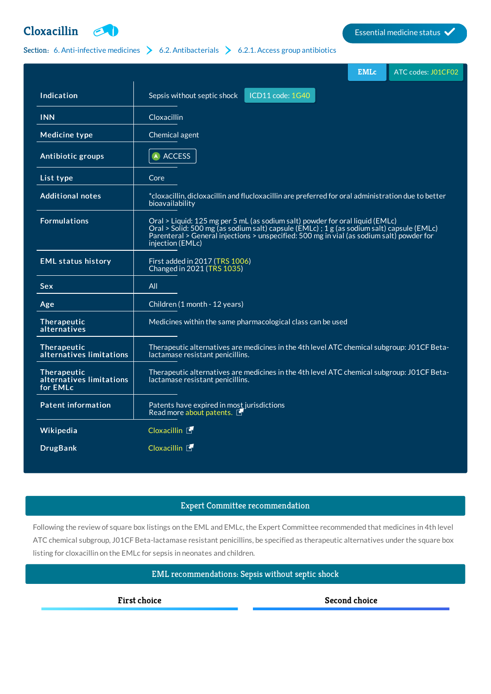# **[Cloxacillin](http://list.essentialmeds.org/medicines/306) Extending the Cloxacillin Extending the Cloxacillin Extending the Cloxacilling of the Clox**

## Section: 6. [Anti-infective](http://list.essentialmeds.org/?section=332) medicines  $\triangleright$  6.2. [Antibacterials](http://list.essentialmeds.org/?section=337)  $\triangleright$  6.2.1. Access group [antibiotics](http://list.essentialmeds.org/?section=338)

|                                                                 | <b>EMLc</b>                                                                                                                                                                                                                                                                                  | ATC codes: J01CF02 |
|-----------------------------------------------------------------|----------------------------------------------------------------------------------------------------------------------------------------------------------------------------------------------------------------------------------------------------------------------------------------------|--------------------|
| Indication                                                      | ICD11 code: 1G40<br>Sepsis without septic shock                                                                                                                                                                                                                                              |                    |
| <b>INN</b>                                                      | Cloxacillin                                                                                                                                                                                                                                                                                  |                    |
| <b>Medicine type</b>                                            | Chemical agent                                                                                                                                                                                                                                                                               |                    |
| Antibiotic groups                                               | A ACCESS                                                                                                                                                                                                                                                                                     |                    |
| List type                                                       | Core                                                                                                                                                                                                                                                                                         |                    |
| <b>Additional notes</b>                                         | *cloxacillin, dicloxacillin and flucloxacillin are preferred for oral administration due to better<br>bioavailability                                                                                                                                                                        |                    |
| <b>Formulations</b>                                             | Oral > Liquid: 125 mg per 5 mL (as sodium salt) powder for oral liquid (EMLc)<br>Oral > Solid: 500 mg (as sodium salt) capsule (EMLc) ; 1 g (as sodium salt) capsule (EMLc)<br>Parenteral > General injections > unspecified: 500 mg in vial (as sodium salt) powder for<br>injection (EMLc) |                    |
| <b>EML status history</b>                                       | First added in 2017 (TRS 1006)<br>Changed in 2021 (TRS 1035)                                                                                                                                                                                                                                 |                    |
| Sex                                                             | All                                                                                                                                                                                                                                                                                          |                    |
| Age                                                             | Children (1 month - 12 years)                                                                                                                                                                                                                                                                |                    |
| Therapeutic<br>alternatives                                     | Medicines within the same pharmacological class can be used                                                                                                                                                                                                                                  |                    |
| Therapeutic<br>alternatives limitations                         | Therapeutic alternatives are medicines in the 4th level ATC chemical subgroup: J01CF Beta-<br>lactamase resistant penicillins.                                                                                                                                                               |                    |
| Therapeutic<br>alternatives limitations<br>for EML <sub>c</sub> | Therapeutic alternatives are medicines in the 4th level ATC chemical subgroup: J01CF Beta-<br>lactamase resistant penicillins.                                                                                                                                                               |                    |
| <b>Patent information</b>                                       | Patents have expired in most jurisdictions<br>Read more about patents.                                                                                                                                                                                                                       |                    |
| Wikipedia                                                       | Cloxacillin [                                                                                                                                                                                                                                                                                |                    |
| <b>DrugBank</b>                                                 | Cloxacillin <b>了</b>                                                                                                                                                                                                                                                                         |                    |

#### Expert Committee recommendation

Following the review of square box listings on the EML and EMLc, the Expert Committee recommended that medicines in 4th level ATC chemical subgroup, J01CF Beta-lactamase resistant penicillins, be specified as therapeutic alternatives under the square box listing for cloxacillin on the EMLc for sepsis in neonates and children.

### EML recommendations: Sepsis without septic shock

**First choice Second choice**